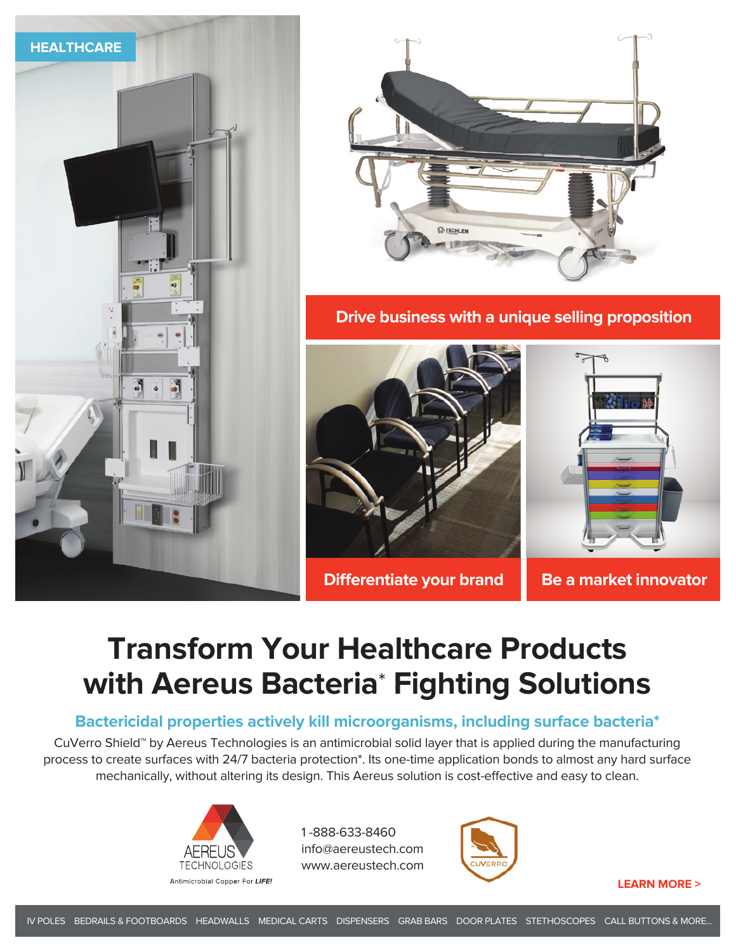



**Drive business with a unique selling proposition**



**Differentiate your brand Be a market innovator** 

## **Transform Your Healthcare Products with Aereus Bacteria**\* **Fighting Solutions**

## **Bactericidal properties actively kill microorganisms, including surface bacteria\***

CuVerro Shield™ by Aereus Technologies is an antimicrobial solid layer that is applied during the manufacturing process to create surfaces with 24/7 bacteria protection\*. Its one-time application bonds to almost any hard surface mechanically, without altering its design. This Aereus solution is cost-effective and easy to clean.



1 -888-633-8460 info@aereustech.com www.aereustech.com